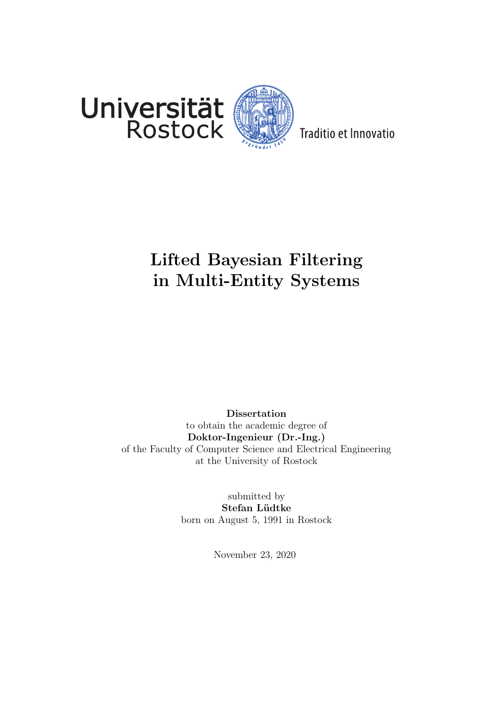

Traditio et Innovatio

## Lifted Bayesian Filtering in Multi-Entity Systems

Dissertation to obtain the academic degree of Doktor-Ingenieur (Dr.-Ing.) of the Faculty of Computer Science and Electrical Engineering at the University of Rostock

> submitted by Stefan Lüdtke born on August 5, 1991 in Rostock

> > November 23, 2020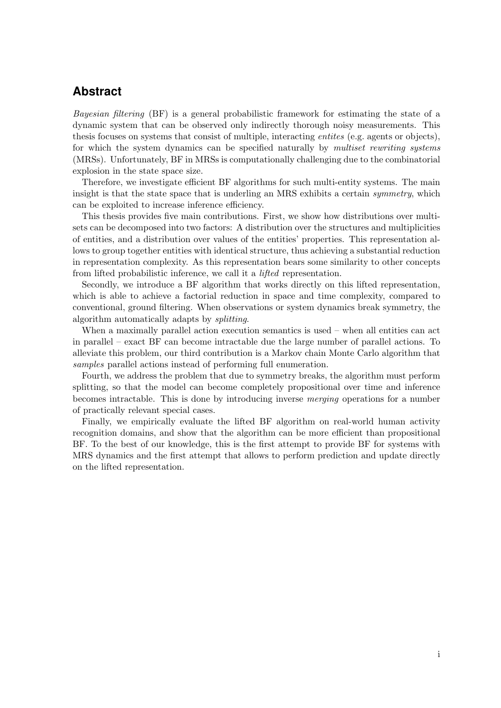## **Abstract**

Bayesian filtering (BF) is a general probabilistic framework for estimating the state of a dynamic system that can be observed only indirectly thorough noisy measurements. This thesis focuses on systems that consist of multiple, interacting entites (e.g. agents or objects), for which the system dynamics can be specified naturally by multiset rewriting systems (MRSs). Unfortunately, BF in MRSs is computationally challenging due to the combinatorial explosion in the state space size.

Therefore, we investigate efficient BF algorithms for such multi-entity systems. The main insight is that the state space that is underling an MRS exhibits a certain symmetry, which can be exploited to increase inference efficiency.

This thesis provides five main contributions. First, we show how distributions over multisets can be decomposed into two factors: A distribution over the structures and multiplicities of entities, and a distribution over values of the entities' properties. This representation allows to group together entities with identical structure, thus achieving a substantial reduction in representation complexity. As this representation bears some similarity to other concepts from lifted probabilistic inference, we call it a lifted representation.

Secondly, we introduce a BF algorithm that works directly on this lifted representation, which is able to achieve a factorial reduction in space and time complexity, compared to conventional, ground filtering. When observations or system dynamics break symmetry, the algorithm automatically adapts by splitting.

When a maximally parallel action execution semantics is used – when all entities can act in parallel – exact BF can become intractable due the large number of parallel actions. To alleviate this problem, our third contribution is a Markov chain Monte Carlo algorithm that samples parallel actions instead of performing full enumeration.

Fourth, we address the problem that due to symmetry breaks, the algorithm must perform splitting, so that the model can become completely propositional over time and inference becomes intractable. This is done by introducing inverse merging operations for a number of practically relevant special cases.

Finally, we empirically evaluate the lifted BF algorithm on real-world human activity recognition domains, and show that the algorithm can be more efficient than propositional BF. To the best of our knowledge, this is the first attempt to provide BF for systems with MRS dynamics and the first attempt that allows to perform prediction and update directly on the lifted representation.